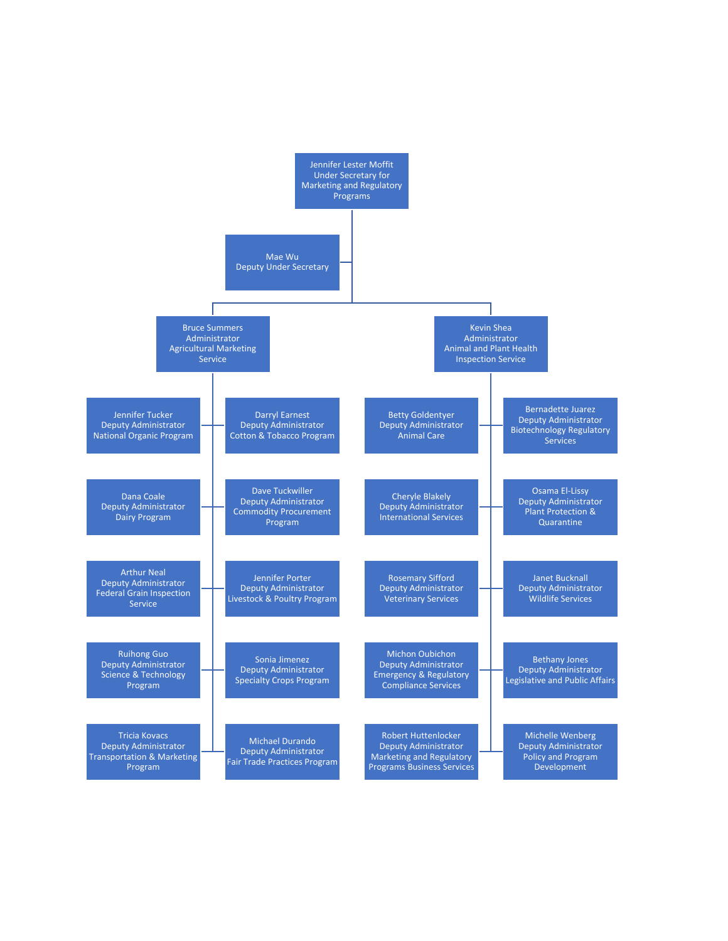